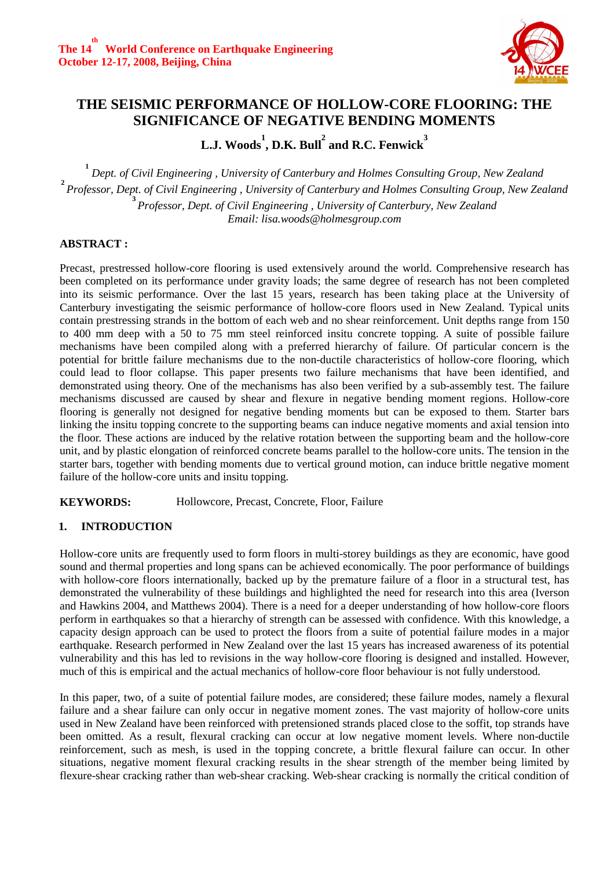

# **THE SEISMIC PERFORMANCE OF HOLLOW-CORE FLOORING: THE SIGNIFICANCE OF NEGATIVE BENDING MOMENTS**

 $\mathbf{L}.\mathbf{J}.$   $\mathbf{Woods}^1,$   $\mathbf{D}.\mathbf{K}.$   $\mathbf{Bull}^2$  and  $\mathbf{R}.\mathbf{C}.$  Fenwick  $^3$ 

**1**  *Dept. of Civil Engineering , University of Canterbury and Holmes Consulting Group, New Zealand*  **2**  *Professor, Dept. of Civil Engineering , University of Canterbury and Holmes Consulting Group, New Zealand* **3**  *Professor, Dept. of Civil Engineering , University of Canterbury, New Zealand Email: lisa.woods@holmesgroup.com* 

## **ABSTRACT :**

Precast, prestressed hollow-core flooring is used extensively around the world. Comprehensive research has been completed on its performance under gravity loads; the same degree of research has not been completed into its seismic performance. Over the last 15 years, research has been taking place at the University of Canterbury investigating the seismic performance of hollow-core floors used in New Zealand. Typical units contain prestressing strands in the bottom of each web and no shear reinforcement. Unit depths range from 150 to 400 mm deep with a 50 to 75 mm steel reinforced insitu concrete topping. A suite of possible failure mechanisms have been compiled along with a preferred hierarchy of failure. Of particular concern is the potential for brittle failure mechanisms due to the non-ductile characteristics of hollow-core flooring, which could lead to floor collapse. This paper presents two failure mechanisms that have been identified, and demonstrated using theory. One of the mechanisms has also been verified by a sub-assembly test. The failure mechanisms discussed are caused by shear and flexure in negative bending moment regions. Hollow-core flooring is generally not designed for negative bending moments but can be exposed to them. Starter bars linking the insitu topping concrete to the supporting beams can induce negative moments and axial tension into the floor. These actions are induced by the relative rotation between the supporting beam and the hollow-core unit, and by plastic elongation of reinforced concrete beams parallel to the hollow-core units. The tension in the starter bars, together with bending moments due to vertical ground motion, can induce brittle negative moment failure of the hollow-core units and insitu topping.

**KEYWORDS:** Hollowcore, Precast, Concrete, Floor, Failure

## **1. INTRODUCTION**

Hollow-core units are frequently used to form floors in multi-storey buildings as they are economic, have good sound and thermal properties and long spans can be achieved economically. The poor performance of buildings with hollow-core floors internationally, backed up by the premature failure of a floor in a structural test, has demonstrated the vulnerability of these buildings and highlighted the need for research into this area (Iverson and Hawkins 2004, and Matthews 2004). There is a need for a deeper understanding of how hollow-core floors perform in earthquakes so that a hierarchy of strength can be assessed with confidence. With this knowledge, a capacity design approach can be used to protect the floors from a suite of potential failure modes in a major earthquake. Research performed in New Zealand over the last 15 years has increased awareness of its potential vulnerability and this has led to revisions in the way hollow-core flooring is designed and installed. However, much of this is empirical and the actual mechanics of hollow-core floor behaviour is not fully understood.

In this paper, two, of a suite of potential failure modes, are considered; these failure modes, namely a flexural failure and a shear failure can only occur in negative moment zones. The vast majority of hollow-core units used in New Zealand have been reinforced with pretensioned strands placed close to the soffit, top strands have been omitted. As a result, flexural cracking can occur at low negative moment levels. Where non-ductile reinforcement, such as mesh, is used in the topping concrete, a brittle flexural failure can occur. In other situations, negative moment flexural cracking results in the shear strength of the member being limited by flexure-shear cracking rather than web-shear cracking. Web-shear cracking is normally the critical condition of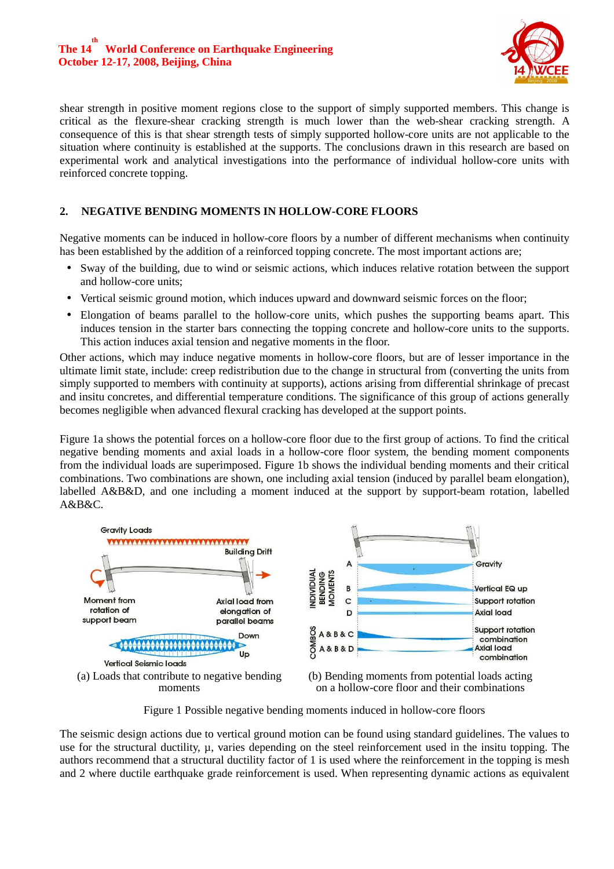

shear strength in positive moment regions close to the support of simply supported members. This change is critical as the flexure-shear cracking strength is much lower than the web-shear cracking strength. A consequence of this is that shear strength tests of simply supported hollow-core units are not applicable to the situation where continuity is established at the supports. The conclusions drawn in this research are based on experimental work and analytical investigations into the performance of individual hollow-core units with reinforced concrete topping.

## **2. NEGATIVE BENDING MOMENTS IN HOLLOW-CORE FLOORS**

Negative moments can be induced in hollow-core floors by a number of different mechanisms when continuity has been established by the addition of a reinforced topping concrete. The most important actions are;

- Sway of the building, due to wind or seismic actions, which induces relative rotation between the support and hollow-core units;
- Vertical seismic ground motion, which induces upward and downward seismic forces on the floor;
- Elongation of beams parallel to the hollow-core units, which pushes the supporting beams apart. This induces tension in the starter bars connecting the topping concrete and hollow-core units to the supports. This action induces axial tension and negative moments in the floor.

Other actions, which may induce negative moments in hollow-core floors, but are of lesser importance in the ultimate limit state, include: creep redistribution due to the change in structural from (converting the units from simply supported to members with continuity at supports), actions arising from differential shrinkage of precast and insitu concretes, and differential temperature conditions. The significance of this group of actions generally becomes negligible when advanced flexural cracking has developed at the support points.

Figure 1a shows the potential forces on a hollow-core floor due to the first group of actions. To find the critical negative bending moments and axial loads in a hollow-core floor system, the bending moment components from the individual loads are superimposed. Figure 1b shows the individual bending moments and their critical combinations. Two combinations are shown, one including axial tension (induced by parallel beam elongation), labelled A&B&D, and one including a moment induced at the support by support-beam rotation, labelled A&B&C.



Figure 1 Possible negative bending moments induced in hollow-core floors

The seismic design actions due to vertical ground motion can be found using standard guidelines. The values to use for the structural ductility,  $\mu$ , varies depending on the steel reinforcement used in the insitu topping. The authors recommend that a structural ductility factor of 1 is used where the reinforcement in the topping is mesh and 2 where ductile earthquake grade reinforcement is used. When representing dynamic actions as equivalent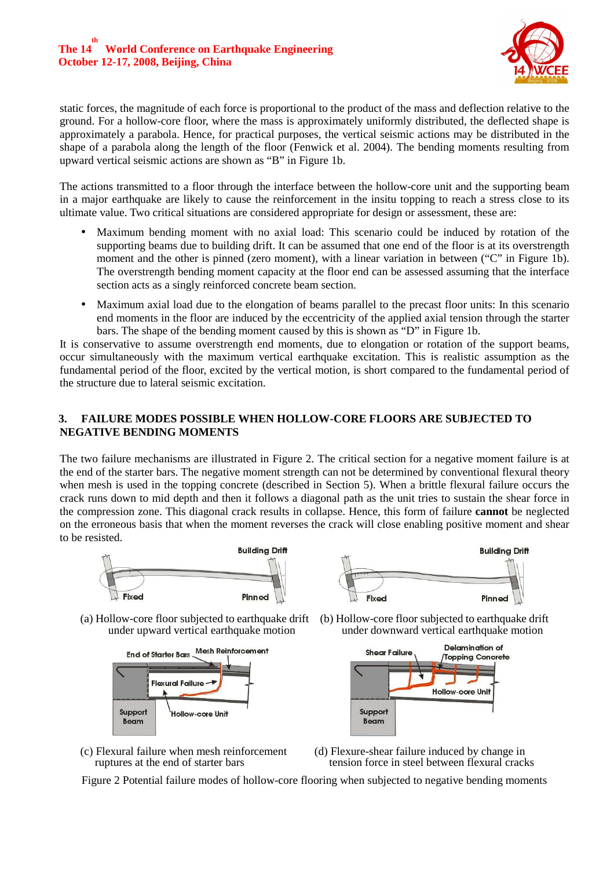

static forces, the magnitude of each force is proportional to the product of the mass and deflection relative to the ground. For a hollow-core floor, where the mass is approximately uniformly distributed, the deflected shape is approximately a parabola. Hence, for practical purposes, the vertical seismic actions may be distributed in the shape of a parabola along the length of the floor (Fenwick et al. 2004). The bending moments resulting from upward vertical seismic actions are shown as "B" in Figure 1b.

The actions transmitted to a floor through the interface between the hollow-core unit and the supporting beam in a major earthquake are likely to cause the reinforcement in the insitu topping to reach a stress close to its ultimate value. Two critical situations are considered appropriate for design or assessment, these are:

- Maximum bending moment with no axial load: This scenario could be induced by rotation of the supporting beams due to building drift. It can be assumed that one end of the floor is at its overstrength moment and the other is pinned (zero moment), with a linear variation in between ("C" in Figure 1b). The overstrength bending moment capacity at the floor end can be assessed assuming that the interface section acts as a singly reinforced concrete beam section.
- Maximum axial load due to the elongation of beams parallel to the precast floor units: In this scenario end moments in the floor are induced by the eccentricity of the applied axial tension through the starter bars. The shape of the bending moment caused by this is shown as "D" in Figure 1b.

It is conservative to assume overstrength end moments, due to elongation or rotation of the support beams, occur simultaneously with the maximum vertical earthquake excitation. This is realistic assumption as the fundamental period of the floor, excited by the vertical motion, is short compared to the fundamental period of the structure due to lateral seismic excitation.

## **3. FAILURE MODES POSSIBLE WHEN HOLLOW-CORE FLOORS ARE SUBJECTED TO NEGATIVE BENDING MOMENTS**

The two failure mechanisms are illustrated in Figure 2. The critical section for a negative moment failure is at the end of the starter bars. The negative moment strength can not be determined by conventional flexural theory when mesh is used in the topping concrete (described in Section 5). When a brittle flexural failure occurs the crack runs down to mid depth and then it follows a diagonal path as the unit tries to sustain the shear force in the compression zone. This diagonal crack results in collapse. Hence, this form of failure **cannot** be neglected on the erroneous basis that when the moment reverses the crack will close enabling positive moment and shear to be resisted.





under upward vertical earthquake motion



- 
- (a) Hollow-core floor subjected to earthquake drift (b) Hollow-core floor subjected to earthquake drift under downward vertical earthquake motion



- (c) Flexural failure when mesh reinforcement ruptures at the end of starter bars
- (d) Flexure-shear failure induced by change in tension force in steel between flexural cracks

Figure 2 Potential failure modes of hollow-core flooring when subjected to negative bending moments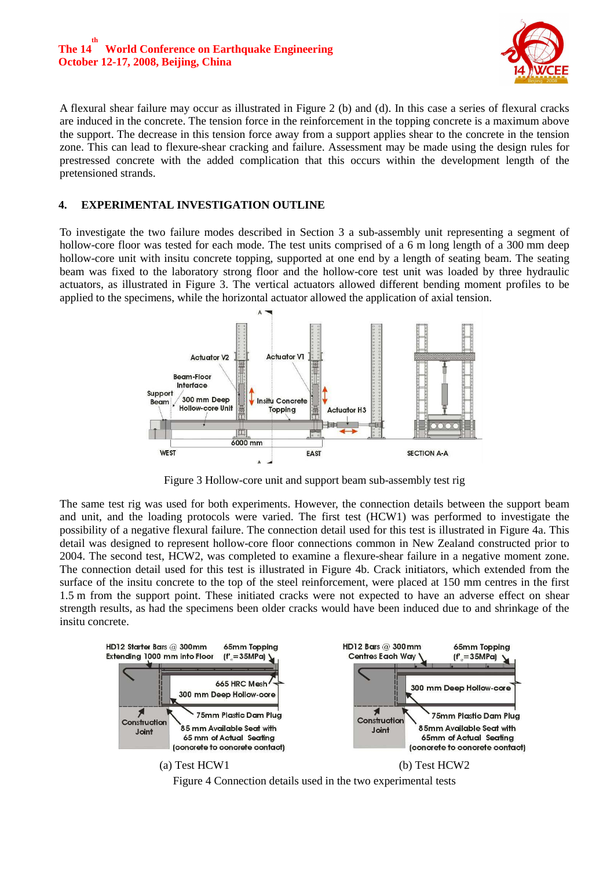#### **The 14 th World Conference on Earthquake Engineering October 12-17, 2008, Beijing, China**



A flexural shear failure may occur as illustrated in Figure 2 (b) and (d). In this case a series of flexural cracks are induced in the concrete. The tension force in the reinforcement in the topping concrete is a maximum above the support. The decrease in this tension force away from a support applies shear to the concrete in the tension zone. This can lead to flexure-shear cracking and failure. Assessment may be made using the design rules for prestressed concrete with the added complication that this occurs within the development length of the pretensioned strands.

## **4. EXPERIMENTAL INVESTIGATION OUTLINE**

To investigate the two failure modes described in Section 3 a sub-assembly unit representing a segment of hollow-core floor was tested for each mode. The test units comprised of a 6 m long length of a 300 mm deep hollow-core unit with insitu concrete topping, supported at one end by a length of seating beam. The seating beam was fixed to the laboratory strong floor and the hollow-core test unit was loaded by three hydraulic actuators, as illustrated in Figure 3. The vertical actuators allowed different bending moment profiles to be applied to the specimens, while the horizontal actuator allowed the application of axial tension.



Figure 3 Hollow-core unit and support beam sub-assembly test rig

The same test rig was used for both experiments. However, the connection details between the support beam and unit, and the loading protocols were varied. The first test (HCW1) was performed to investigate the possibility of a negative flexural failure. The connection detail used for this test is illustrated in Figure 4a. This detail was designed to represent hollow-core floor connections common in New Zealand constructed prior to 2004. The second test, HCW2, was completed to examine a flexure-shear failure in a negative moment zone. The connection detail used for this test is illustrated in Figure 4b. Crack initiators, which extended from the surface of the insitu concrete to the top of the steel reinforcement, were placed at 150 mm centres in the first 1.5 m from the support point. These initiated cracks were not expected to have an adverse effect on shear strength results, as had the specimens been older cracks would have been induced due to and shrinkage of the insitu concrete.



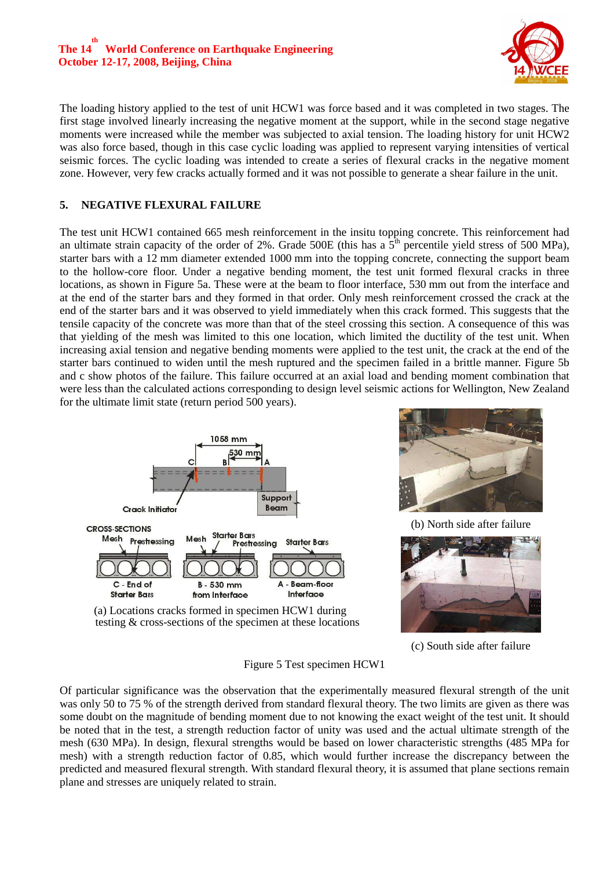## **The 14 th World Conference on Earthquake Engineering October 12-17, 2008, Beijing, China**



The loading history applied to the test of unit HCW1 was force based and it was completed in two stages. The first stage involved linearly increasing the negative moment at the support, while in the second stage negative moments were increased while the member was subjected to axial tension. The loading history for unit HCW2 was also force based, though in this case cyclic loading was applied to represent varying intensities of vertical seismic forces. The cyclic loading was intended to create a series of flexural cracks in the negative moment zone. However, very few cracks actually formed and it was not possible to generate a shear failure in the unit.

## **5. NEGATIVE FLEXURAL FAILURE**

The test unit HCW1 contained 665 mesh reinforcement in the insitu topping concrete. This reinforcement had an ultimate strain capacity of the order of 2%. Grade 500E (this has a  $5<sup>th</sup>$  percentile yield stress of 500 MPa), starter bars with a 12 mm diameter extended 1000 mm into the topping concrete, connecting the support beam to the hollow-core floor. Under a negative bending moment, the test unit formed flexural cracks in three locations, as shown in Figure 5a. These were at the beam to floor interface, 530 mm out from the interface and at the end of the starter bars and they formed in that order. Only mesh reinforcement crossed the crack at the end of the starter bars and it was observed to yield immediately when this crack formed. This suggests that the tensile capacity of the concrete was more than that of the steel crossing this section. A consequence of this was that yielding of the mesh was limited to this one location, which limited the ductility of the test unit. When increasing axial tension and negative bending moments were applied to the test unit, the crack at the end of the starter bars continued to widen until the mesh ruptured and the specimen failed in a brittle manner. Figure 5b and c show photos of the failure. This failure occurred at an axial load and bending moment combination that were less than the calculated actions corresponding to design level seismic actions for Wellington, New Zealand for the ultimate limit state (return period 500 years).





(b) North side after failure



(a) Locations cracks formed in specimen HCW1 during testing & cross-sections of the specimen at these locations

(c) South side after failure

Figure 5 Test specimen HCW1

Of particular significance was the observation that the experimentally measured flexural strength of the unit was only 50 to 75 % of the strength derived from standard flexural theory. The two limits are given as there was some doubt on the magnitude of bending moment due to not knowing the exact weight of the test unit. It should be noted that in the test, a strength reduction factor of unity was used and the actual ultimate strength of the mesh (630 MPa). In design, flexural strengths would be based on lower characteristic strengths (485 MPa for mesh) with a strength reduction factor of 0.85, which would further increase the discrepancy between the predicted and measured flexural strength. With standard flexural theory, it is assumed that plane sections remain plane and stresses are uniquely related to strain.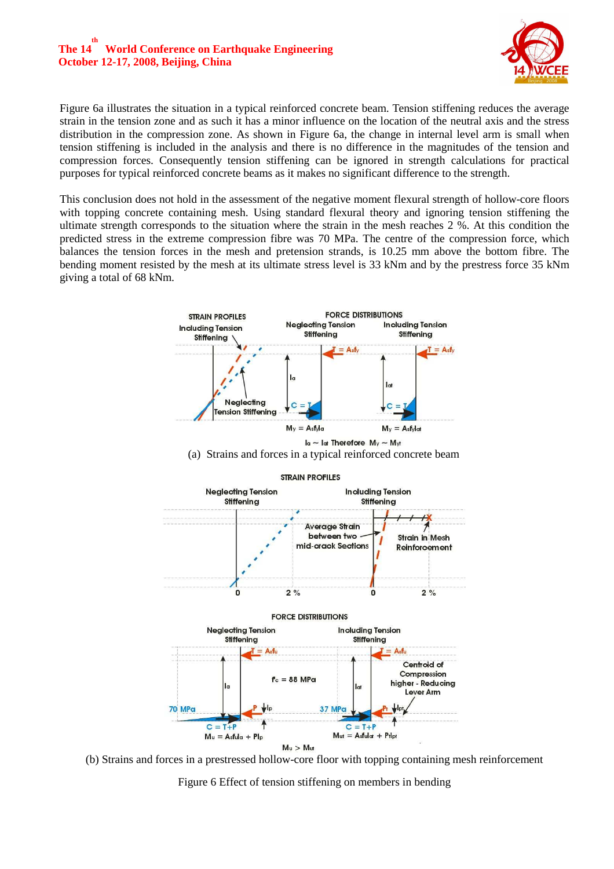## **The 14 th World Conference on Earthquake Engineering October 12-17, 2008, Beijing, China**



Figure 6a illustrates the situation in a typical reinforced concrete beam. Tension stiffening reduces the average strain in the tension zone and as such it has a minor influence on the location of the neutral axis and the stress distribution in the compression zone. As shown in Figure 6a, the change in internal level arm is small when tension stiffening is included in the analysis and there is no difference in the magnitudes of the tension and compression forces. Consequently tension stiffening can be ignored in strength calculations for practical purposes for typical reinforced concrete beams as it makes no significant difference to the strength.

This conclusion does not hold in the assessment of the negative moment flexural strength of hollow-core floors with topping concrete containing mesh. Using standard flexural theory and ignoring tension stiffening the ultimate strength corresponds to the situation where the strain in the mesh reaches 2 %. At this condition the predicted stress in the extreme compression fibre was 70 MPa. The centre of the compression force, which balances the tension forces in the mesh and pretension strands, is 10.25 mm above the bottom fibre. The bending moment resisted by the mesh at its ultimate stress level is 33 kNm and by the prestress force 35 kNm giving a total of 68 kNm.



(b) Strains and forces in a prestressed hollow-core floor with topping containing mesh reinforcement

Figure 6 Effect of tension stiffening on members in bending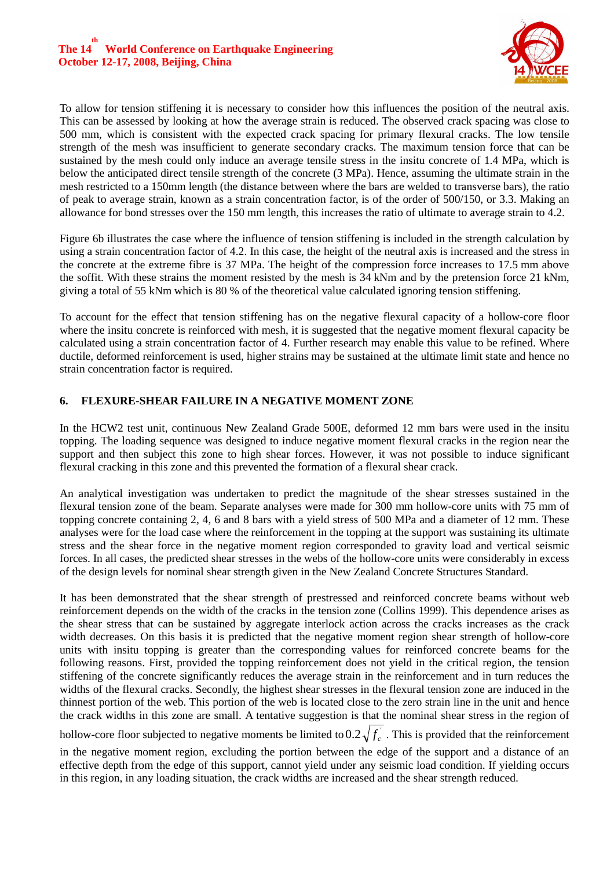

To allow for tension stiffening it is necessary to consider how this influences the position of the neutral axis. This can be assessed by looking at how the average strain is reduced. The observed crack spacing was close to 500 mm, which is consistent with the expected crack spacing for primary flexural cracks. The low tensile strength of the mesh was insufficient to generate secondary cracks. The maximum tension force that can be sustained by the mesh could only induce an average tensile stress in the insitu concrete of 1.4 MPa, which is below the anticipated direct tensile strength of the concrete (3 MPa). Hence, assuming the ultimate strain in the mesh restricted to a 150mm length (the distance between where the bars are welded to transverse bars), the ratio of peak to average strain, known as a strain concentration factor, is of the order of 500/150, or 3.3. Making an allowance for bond stresses over the 150 mm length, this increases the ratio of ultimate to average strain to 4.2.

Figure 6b illustrates the case where the influence of tension stiffening is included in the strength calculation by using a strain concentration factor of 4.2. In this case, the height of the neutral axis is increased and the stress in the concrete at the extreme fibre is 37 MPa. The height of the compression force increases to 17.5 mm above the soffit. With these strains the moment resisted by the mesh is 34 kNm and by the pretension force 21 kNm, giving a total of 55 kNm which is 80 % of the theoretical value calculated ignoring tension stiffening.

To account for the effect that tension stiffening has on the negative flexural capacity of a hollow-core floor where the insitu concrete is reinforced with mesh, it is suggested that the negative moment flexural capacity be calculated using a strain concentration factor of 4. Further research may enable this value to be refined. Where ductile, deformed reinforcement is used, higher strains may be sustained at the ultimate limit state and hence no strain concentration factor is required.

## **6. FLEXURE-SHEAR FAILURE IN A NEGATIVE MOMENT ZONE**

In the HCW2 test unit, continuous New Zealand Grade 500E, deformed 12 mm bars were used in the insitu topping. The loading sequence was designed to induce negative moment flexural cracks in the region near the support and then subject this zone to high shear forces. However, it was not possible to induce significant flexural cracking in this zone and this prevented the formation of a flexural shear crack.

An analytical investigation was undertaken to predict the magnitude of the shear stresses sustained in the flexural tension zone of the beam. Separate analyses were made for 300 mm hollow-core units with 75 mm of topping concrete containing 2, 4, 6 and 8 bars with a yield stress of 500 MPa and a diameter of 12 mm. These analyses were for the load case where the reinforcement in the topping at the support was sustaining its ultimate stress and the shear force in the negative moment region corresponded to gravity load and vertical seismic forces. In all cases, the predicted shear stresses in the webs of the hollow-core units were considerably in excess of the design levels for nominal shear strength given in the New Zealand Concrete Structures Standard.

It has been demonstrated that the shear strength of prestressed and reinforced concrete beams without web reinforcement depends on the width of the cracks in the tension zone (Collins 1999). This dependence arises as the shear stress that can be sustained by aggregate interlock action across the cracks increases as the crack width decreases. On this basis it is predicted that the negative moment region shear strength of hollow-core units with insitu topping is greater than the corresponding values for reinforced concrete beams for the following reasons. First, provided the topping reinforcement does not yield in the critical region, the tension stiffening of the concrete significantly reduces the average strain in the reinforcement and in turn reduces the widths of the flexural cracks. Secondly, the highest shear stresses in the flexural tension zone are induced in the thinnest portion of the web. This portion of the web is located close to the zero strain line in the unit and hence the crack widths in this zone are small. A tentative suggestion is that the nominal shear stress in the region of

hollow-core floor subjected to negative moments be limited to  $0.2\sqrt{f_c}$ . This is provided that the reinforcement

in the negative moment region, excluding the portion between the edge of the support and a distance of an effective depth from the edge of this support, cannot yield under any seismic load condition. If yielding occurs in this region, in any loading situation, the crack widths are increased and the shear strength reduced.